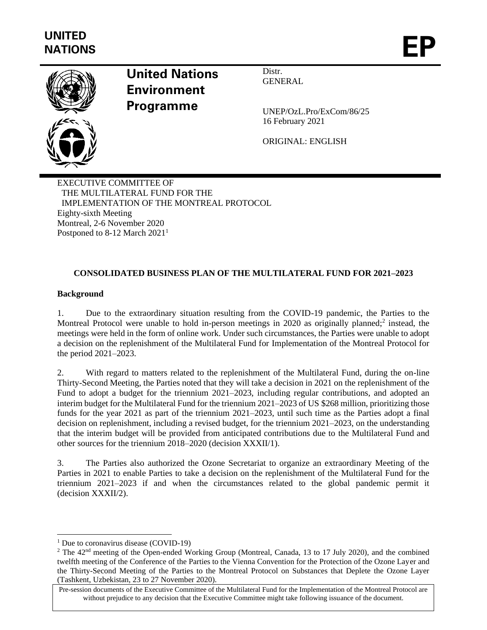

# **United Nations Environment Programme**

Distr. **GENERAL** 

UNEP/OzL.Pro/ExCom/86/25 16 February 2021

ORIGINAL: ENGLISH

EXECUTIVE COMMITTEE OF THE MULTILATERAL FUND FOR THE IMPLEMENTATION OF THE MONTREAL PROTOCOL Eighty-sixth Meeting Montreal, 2-6 November 2020 Postponed to 8-12 March 2021<sup>1</sup>

# **CONSOLIDATED BUSINESS PLAN OF THE MULTILATERAL FUND FOR 2021–2023**

## **Background**

1. Due to the extraordinary situation resulting from the COVID-19 pandemic, the Parties to the Montreal Protocol were unable to hold in-person meetings in 2020 as originally planned;<sup>2</sup> instead, the meetings were held in the form of online work. Under such circumstances, the Parties were unable to adopt a decision on the replenishment of the Multilateral Fund for Implementation of the Montreal Protocol for the period 2021–2023.

2. With regard to matters related to the replenishment of the Multilateral Fund, during the on-line Thirty-Second Meeting, the Parties noted that they will take a decision in 2021 on the replenishment of the Fund to adopt a budget for the triennium 2021–2023, including regular contributions, and adopted an interim budget for the Multilateral Fund for the triennium 2021–2023 of US \$268 million, prioritizing those funds for the year 2021 as part of the triennium 2021–2023, until such time as the Parties adopt a final decision on replenishment, including a revised budget, for the triennium 2021–2023, on the understanding that the interim budget will be provided from anticipated contributions due to the Multilateral Fund and other sources for the triennium 2018–2020 (decision XXXII/1).

3. The Parties also authorized the Ozone Secretariat to organize an extraordinary Meeting of the Parties in 2021 to enable Parties to take a decision on the replenishment of the Multilateral Fund for the triennium 2021–2023 if and when the circumstances related to the global pandemic permit it (decision XXXII/2).

<sup>&</sup>lt;sup>1</sup> Due to coronavirus disease (COVID-19)

<sup>&</sup>lt;sup>2</sup> The 42<sup>nd</sup> meeting of the Open-ended Working Group (Montreal, Canada, 13 to 17 July 2020), and the combined twelfth meeting of the Conference of the Parties to the Vienna Convention for the Protection of the Ozone Layer and the Thirty-Second Meeting of the Parties to the Montreal Protocol on Substances that Deplete the Ozone Layer (Tashkent, Uzbekistan, 23 to 27 November 2020).

Pre-session documents of the Executive Committee of the Multilateral Fund for the Implementation of the Montreal Protocol are without prejudice to any decision that the Executive Committee might take following issuance of the document.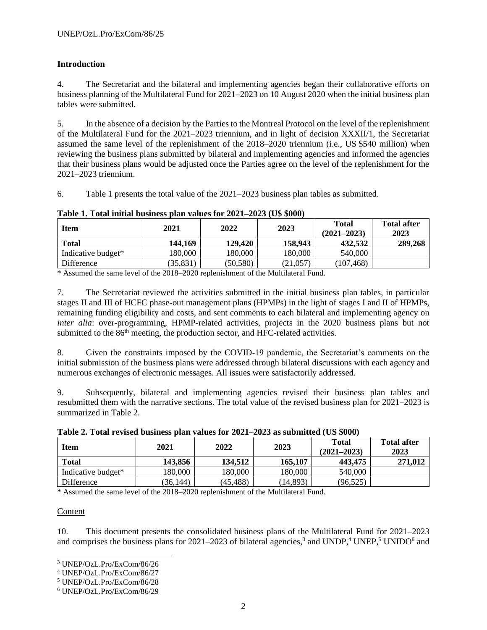# **Introduction**

4. The Secretariat and the bilateral and implementing agencies began their collaborative efforts on business planning of the Multilateral Fund for 2021–2023 on 10 August 2020 when the initial business plan tables were submitted.

5. In the absence of a decision by the Parties to the Montreal Protocol on the level of the replenishment of the Multilateral Fund for the 2021–2023 triennium, and in light of decision XXXII/1, the Secretariat assumed the same level of the replenishment of the 2018–2020 triennium (i.e., US \$540 million) when reviewing the business plans submitted by bilateral and implementing agencies and informed the agencies that their business plans would be adjusted once the Parties agree on the level of the replenishment for the 2021–2023 triennium.

6. Table 1 presents the total value of the 2021–2023 business plan tables as submitted.

| <b>Item</b>        | 2021    | 2022      | 2023     | <b>Total</b><br>$(2021 - 2023)$ |         |
|--------------------|---------|-----------|----------|---------------------------------|---------|
| <b>Total</b>       | 144,169 | 129,420   | 158,943  | 432.532                         | 289,268 |
| Indicative budget* | 180.000 | 180.000   | 180.000  | 540,000                         |         |
| Difference         | 35,831  | (50, 580) | (21,057) | (107, 468)                      |         |

#### **Table 1. Total initial business plan values for 2021–2023 (U\$ \$000)**

\* Assumed the same level of the 2018–2020 replenishment of the Multilateral Fund.

7. The Secretariat reviewed the activities submitted in the initial business plan tables, in particular stages II and III of HCFC phase-out management plans (HPMPs) in the light of stages I and II of HPMPs, remaining funding eligibility and costs, and sent comments to each bilateral and implementing agency on *inter alia*: over-programming, HPMP-related activities, projects in the 2020 business plans but not submitted to the 86<sup>th</sup> meeting, the production sector, and HFC-related activities.

8. Given the constraints imposed by the COVID-19 pandemic, the Secretariat's comments on the initial submission of the business plans were addressed through bilateral discussions with each agency and numerous exchanges of electronic messages. All issues were satisfactorily addressed.

9. Subsequently, bilateral and implementing agencies revised their business plan tables and resubmitted them with the narrative sections. The total value of the revised business plan for 2021–2023 is summarized in Table 2.

| <b>Table 2. Total Teviscu business plan values for 2021 2023 as subfilled (OS \$000)</b> |           |           |           |                                 |                            |  |  |  |  |  |
|------------------------------------------------------------------------------------------|-----------|-----------|-----------|---------------------------------|----------------------------|--|--|--|--|--|
| <b>Item</b>                                                                              | 2021      | 2022      | 2023      | <b>Total</b><br>$(2021 - 2023)$ | <b>Total after</b><br>2023 |  |  |  |  |  |
| <b>Total</b>                                                                             | 143,856   | 134,512   | 165,107   | 443,475                         | 271,012                    |  |  |  |  |  |
| Indicative budget*                                                                       | 180,000   | 180,000   | 180,000   | 540,000                         |                            |  |  |  |  |  |
| Difference                                                                               | (36, 144) | (45, 488) | (14, 893) | (96, 525)                       |                            |  |  |  |  |  |

**Table 2. Total revised business plan values for 2021–2023 as submitted (US \$000)**

\* Assumed the same level of the 2018–2020 replenishment of the Multilateral Fund.

## Content

10. This document presents the consolidated business plans of the Multilateral Fund for 2021–2023 and comprises the business plans for 2021–2023 of bilateral agencies,<sup>3</sup> and UNDP,<sup>4</sup> UNEP,<sup>5</sup> UNIDO<sup>6</sup> and

<sup>3</sup> UNEP/OzL.Pro/ExCom/86/26

<sup>4</sup> UNEP/OzL.Pro/ExCom/86/27

<sup>5</sup> UNEP/OzL.Pro/ExCom/86/28

<sup>6</sup> UNEP/OzL.Pro/ExCom/86/29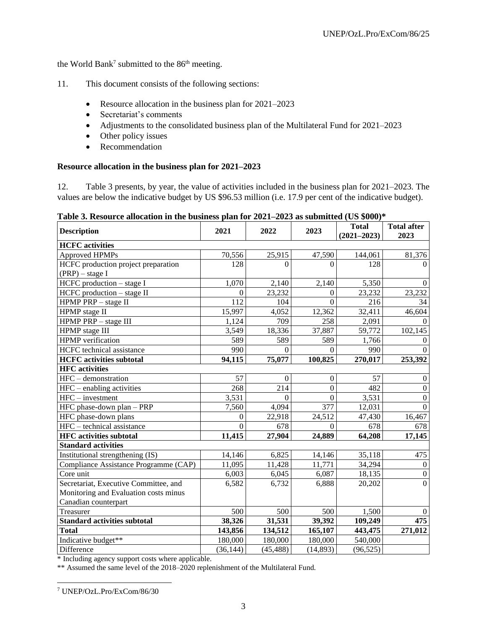the World Bank<sup>7</sup> submitted to the  $86<sup>th</sup>$  meeting.

- 11. This document consists of the following sections:
	- Resource allocation in the business plan for 2021–2023
	- Secretariat's comments
	- Adjustments to the consolidated business plan of the Multilateral Fund for 2021–2023
	- Other policy issues
	- Recommendation

## **Resource allocation in the business plan for 2021–2023**

12. Table 3 presents, by year, the value of activities included in the business plan for 2021–2023. The values are below the indicative budget by US \$96.53 million (i.e. 17.9 per cent of the indicative budget).

| Table 3. Resource allocation in the business plan for $2021-2023$ as submitted (US \$000)* |  |  |  |
|--------------------------------------------------------------------------------------------|--|--|--|
|                                                                                            |  |  |  |

| rabic of resource anotation in the business pian for 2021. 2020 as submitted (OD $\psi$ 000) |           |              |                | <b>Total</b>    | <b>Total after</b> |
|----------------------------------------------------------------------------------------------|-----------|--------------|----------------|-----------------|--------------------|
| <b>Description</b>                                                                           | 2021      | 2022         | 2023           | $(2021 - 2023)$ | 2023               |
| <b>HCFC</b> activities                                                                       |           |              |                |                 |                    |
| Approved HPMPs                                                                               | 70,556    | 25,915       | 47,590         | 144,061         | 81,376             |
| HCFC production project preparation                                                          | 128       | $\theta$     | $\Omega$       | 128             | $\Omega$           |
| $(PRP)$ – stage I                                                                            |           |              |                |                 |                    |
| $H$ CFC production $-$ stage I                                                               | 1,070     | 2,140        | 2,140          | 5,350           | $\theta$           |
| $H$ CFC production $-$ stage II                                                              | $\Omega$  | 23,232       | $\Omega$       | 23,232          | 23,232             |
| HPMP PRP - stage II                                                                          | 112       | 104          | $\overline{0}$ | 216             | 34                 |
| HPMP stage II                                                                                | 15,997    | 4,052        | 12,362         | 32,411          | 46,604             |
| HPMP PRP - stage III                                                                         | 1,124     | 709          | 258            | 2,091           | $\Omega$           |
| HPMP stage III                                                                               | 3,549     | 18,336       | 37,887         | 59,772          | 102,145            |
| <b>HPMP</b> verification                                                                     | 589       | 589          | 589            | 1,766           | $\theta$           |
| HCFC technical assistance                                                                    | 990       | $\Omega$     | $\Omega$       | 990             | $\theta$           |
| <b>HCFC</b> activities subtotal                                                              | 94,115    | 75,077       | 100,825        | 270,017         | 253,392            |
| <b>HFC</b> activities                                                                        |           |              |                |                 |                    |
| HFC - demonstration                                                                          | 57        | $\mathbf{0}$ | $\overline{0}$ | 57              | $\mathbf{0}$       |
| HFC - enabling activities                                                                    | 268       | 214          | $\overline{0}$ | 482             | $\mathbf{0}$       |
| $HFC$ – investment                                                                           | 3,531     | $\Omega$     | $\overline{0}$ | 3,531           | $\mathbf{0}$       |
| HFC phase-down plan - PRP                                                                    | 7,560     | 4,094        | 377            | 12,031          | $\Omega$           |
| HFC phase-down plans                                                                         | 0         | 22,918       | 24,512         | 47,430          | 16,467             |
| HFC - technical assistance                                                                   | $\Omega$  | 678          | $\Omega$       | 678             | 678                |
| <b>HFC</b> activities subtotal                                                               | 11,415    | 27,904       | 24,889         | 64,208          | 17,145             |
| <b>Standard activities</b>                                                                   |           |              |                |                 |                    |
| Institutional strengthening (IS)                                                             | 14,146    | 6,825        | 14,146         | 35,118          | 475                |
| Compliance Assistance Programme (CAP)                                                        | 11,095    | 11,428       | 11,771         | 34,294          | $\overline{0}$     |
| Core unit                                                                                    | 6,003     | 6,045        | 6,087          | 18,135          | $\boldsymbol{0}$   |
| Secretariat, Executive Committee, and                                                        | 6,582     | 6,732        | 6,888          | 20,202          | $\overline{0}$     |
| Monitoring and Evaluation costs minus                                                        |           |              |                |                 |                    |
| Canadian counterpart                                                                         |           |              |                |                 |                    |
| Treasurer                                                                                    | 500       | 500          | 500            | 1,500           | $\theta$           |
| <b>Standard activities subtotal</b>                                                          | 38,326    | 31,531       | 39,392         | 109,249         | 475                |
| <b>Total</b>                                                                                 | 143,856   | 134,512      | 165,107        | 443,475         | 271,012            |
| Indicative budget**                                                                          | 180,000   | 180,000      | 180,000        | 540,000         |                    |
| Difference                                                                                   | (36, 144) | (45, 488)    | (14, 893)      | (96, 525)       |                    |

\* Including agency support costs where applicable.

\*\* Assumed the same level of the 2018–2020 replenishment of the Multilateral Fund.

<sup>7</sup> UNEP/OzL.Pro/ExCom/86/30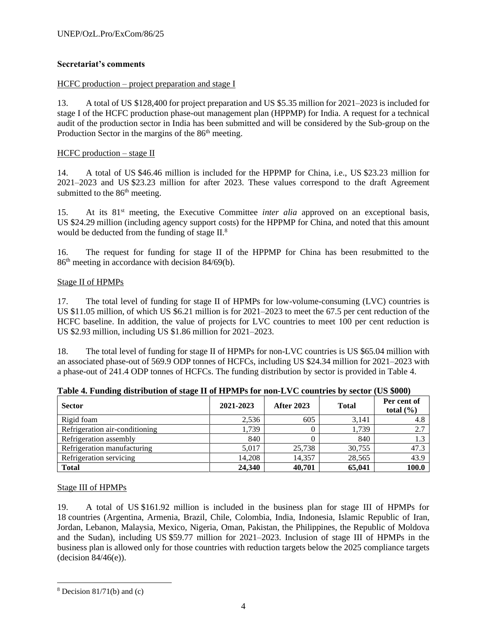## **Secretariat's comments**

## HCFC production – project preparation and stage I

13. A total of US \$128,400 for project preparation and US \$5.35 million for 2021–2023 is included for stage I of the HCFC production phase-out management plan (HPPMP) for India. A request for a technical audit of the production sector in India has been submitted and will be considered by the Sub-group on the Production Sector in the margins of the 86<sup>th</sup> meeting.

## $H$ CFC production – stage II

14. A total of US \$46.46 million is included for the HPPMP for China, i.e., US \$23.23 million for 2021–2023 and US \$23.23 million for after 2023. These values correspond to the draft Agreement submitted to the 86<sup>th</sup> meeting.

15. At its 81st meeting, the Executive Committee *inter alia* approved on an exceptional basis, US \$24.29 million (including agency support costs) for the HPPMP for China, and noted that this amount would be deducted from the funding of stage II.<sup>8</sup>

16. The request for funding for stage II of the HPPMP for China has been resubmitted to the 86th meeting in accordance with decision 84/69(b).

## Stage II of HPMPs

17. The total level of funding for stage II of HPMPs for low-volume-consuming (LVC) countries is US \$11.05 million, of which US \$6.21 million is for 2021–2023 to meet the 67.5 per cent reduction of the HCFC baseline. In addition, the value of projects for LVC countries to meet 100 per cent reduction is US \$2.93 million, including US \$1.86 million for 2021–2023.

18. The total level of funding for stage II of HPMPs for non-LVC countries is US \$65.04 million with an associated phase-out of 569.9 ODP tonnes of HCFCs, including US \$24.34 million for 2021–2023 with a phase-out of 241.4 ODP tonnes of HCFCs. The funding distribution by sector is provided in Table 4.

| <b>Sector</b>                  | 2021-2023 | <b>After 2023</b> | <b>Total</b> | Per cent of<br>total $(\% )$ |
|--------------------------------|-----------|-------------------|--------------|------------------------------|
| Rigid foam                     | 2,536     | 605               | 3,141        | 4.8                          |
| Refrigeration air-conditioning | 1,739     |                   | 1,739        | 2.7                          |
| Refrigeration assembly         | 840       |                   | 840          |                              |
| Refrigeration manufacturing    | 5,017     | 25,738            | 30,755       | 47.3                         |
| Refrigeration servicing        | 14.208    | 14.357            | 28,565       | 43.9                         |
| <b>Total</b>                   | 24,340    | 40.701            | 65,041       | 100.0                        |

**Table 4. Funding distribution of stage II of HPMPs for non-LVC countries by sector (US \$000)**

## Stage III of HPMPs

19. A total of US \$161.92 million is included in the business plan for stage III of HPMPs for 18 countries (Argentina, Armenia, Brazil, Chile, Colombia, India, Indonesia, Islamic Republic of Iran, Jordan, Lebanon, Malaysia, Mexico, Nigeria, Oman, Pakistan, the Philippines, the Republic of Moldova and the Sudan), including US \$59.77 million for 2021–2023. Inclusion of stage III of HPMPs in the business plan is allowed only for those countries with reduction targets below the 2025 compliance targets (decision 84/46(e)).

 $8$  Decision 81/71(b) and (c)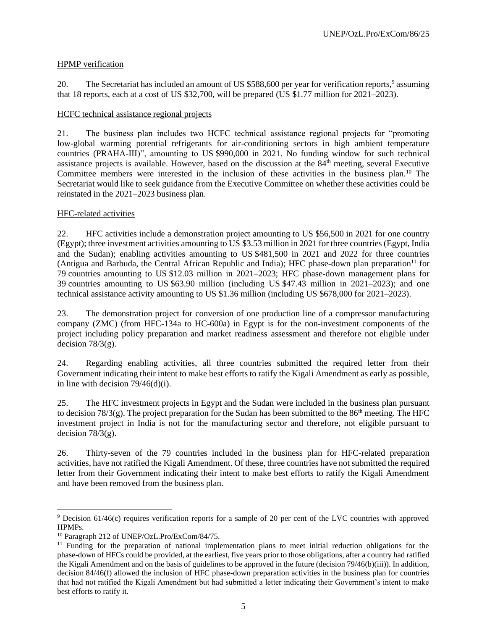## HPMP verification

20. The Secretariat has included an amount of US \$588,600 per year for verification reports,<sup>9</sup> assuming that 18 reports, each at a cost of US \$32,700, will be prepared (US \$1.77 million for 2021–2023).

## HCFC technical assistance regional projects

21. The business plan includes two HCFC technical assistance regional projects for "promoting low-global warming potential refrigerants for air-conditioning sectors in high ambient temperature countries (PRAHA-III)", amounting to US \$990,000 in 2021. No funding window for such technical assistance projects is available. However, based on the discussion at the 84th meeting, several Executive Committee members were interested in the inclusion of these activities in the business plan.<sup>10</sup> The Secretariat would like to seek guidance from the Executive Committee on whether these activities could be reinstated in the 2021–2023 business plan.

## HFC-related activities

22. HFC activities include a demonstration project amounting to US \$56,500 in 2021 for one country (Egypt); three investment activities amounting to US \$3.53 million in 2021 for three countries (Egypt, India and the Sudan); enabling activities amounting to US \$481,500 in 2021 and 2022 for three countries (Antigua and Barbuda, the Central African Republic and India); HFC phase-down plan preparation<sup>11</sup> for 79 countries amounting to US \$12.03 million in 2021–2023; HFC phase-down management plans for 39 countries amounting to US \$63.90 million (including US \$47.43 million in 2021–2023); and one technical assistance activity amounting to US \$1.36 million (including US \$678,000 for 2021–2023).

23. The demonstration project for conversion of one production line of a compressor manufacturing company (ZMC) (from HFC-134a to HC-600a) in Egypt is for the non-investment components of the project including policy preparation and market readiness assessment and therefore not eligible under decision  $78/3(g)$ .

24. Regarding enabling activities, all three countries submitted the required letter from their Government indicating their intent to make best efforts to ratify the Kigali Amendment as early as possible, in line with decision  $79/46(d)(i)$ .

25. The HFC investment projects in Egypt and the Sudan were included in the business plan pursuant to decision 78/3(g). The project preparation for the Sudan has been submitted to the 86<sup>th</sup> meeting. The HFC investment project in India is not for the manufacturing sector and therefore, not eligible pursuant to decision  $78/3(g)$ .

26. Thirty-seven of the 79 countries included in the business plan for HFC-related preparation activities, have not ratified the Kigali Amendment. Of these, three countries have not submitted the required letter from their Government indicating their intent to make best efforts to ratify the Kigali Amendment and have been removed from the business plan.

<sup>&</sup>lt;sup>9</sup> Decision 61/46(c) requires verification reports for a sample of 20 per cent of the LVC countries with approved HPMPs.

<sup>10</sup> Paragraph 212 of UNEP/OzL.Pro/ExCom/84/75.

<sup>&</sup>lt;sup>11</sup> Funding for the preparation of national implementation plans to meet initial reduction obligations for the phase-down of HFCs could be provided, at the earliest, five years prior to those obligations, after a country had ratified the Kigali Amendment and on the basis of guidelines to be approved in the future (decision 79/46(b)(iii)). In addition, decision 84/46(f) allowed the inclusion of HFC phase-down preparation activities in the business plan for countries that had not ratified the Kigali Amendment but had submitted a letter indicating their Government's intent to make best efforts to ratify it.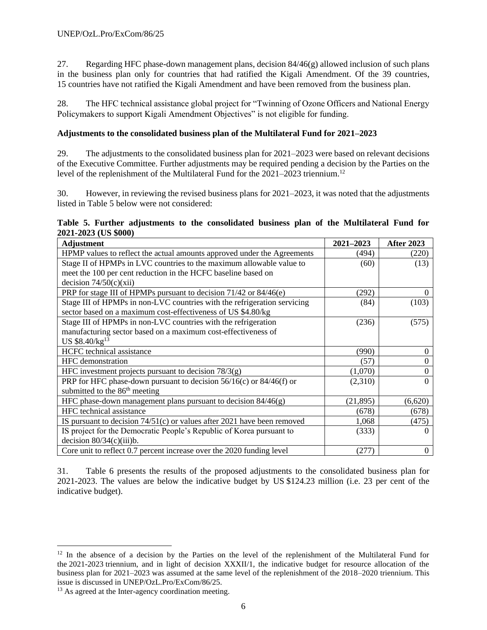27. Regarding HFC phase-down management plans, decision  $84/46(g)$  allowed inclusion of such plans in the business plan only for countries that had ratified the Kigali Amendment. Of the 39 countries, 15 countries have not ratified the Kigali Amendment and have been removed from the business plan.

28. The HFC technical assistance global project for "Twinning of Ozone Officers and National Energy Policymakers to support Kigali Amendment Objectives" is not eligible for funding.

#### **Adjustments to the consolidated business plan of the Multilateral Fund for 2021–2023**

29. The adjustments to the consolidated business plan for 2021–2023 were based on relevant decisions of the Executive Committee. Further adjustments may be required pending a decision by the Parties on the level of the replenishment of the Multilateral Fund for the 2021–2023 triennium.<sup>12</sup>

30. However, in reviewing the revised business plans for 2021–2023, it was noted that the adjustments listed in Table 5 below were not considered:

|  |                      |  | Table 5. Further adjustments to the consolidated business plan of the Multilateral Fund for |  |  |  |  |
|--|----------------------|--|---------------------------------------------------------------------------------------------|--|--|--|--|
|  | 2021-2023 (US \$000) |  |                                                                                             |  |  |  |  |

| <b>Adjustment</b>                                                         | $2021 - 2023$ | <b>After 2023</b> |
|---------------------------------------------------------------------------|---------------|-------------------|
| HPMP values to reflect the actual amounts approved under the Agreements   | (494)         | (220)             |
| Stage II of HPMPs in LVC countries to the maximum allowable value to      | (60)          | (13)              |
| meet the 100 per cent reduction in the HCFC baseline based on             |               |                   |
| decision $74/50(c)(xii)$                                                  |               |                   |
| PRP for stage III of HPMPs pursuant to decision 71/42 or 84/46(e)         | (292)         |                   |
| Stage III of HPMPs in non-LVC countries with the refrigeration servicing  | (84)          | (103)             |
| sector based on a maximum cost-effectiveness of US \$4.80/kg              |               |                   |
| Stage III of HPMPs in non-LVC countries with the refrigeration            | (236)         | (575)             |
| manufacturing sector based on a maximum cost-effectiveness of             |               |                   |
| US $$8.40/kg13$                                                           |               |                   |
| HCFC technical assistance                                                 | (990)         | 0                 |
| <b>HFC</b> demonstration                                                  | (57)          |                   |
| HFC investment projects pursuant to decision $78/3(g)$                    | (1,070)       |                   |
| PRP for HFC phase-down pursuant to decision $56/16(c)$ or $84/46(f)$ or   | (2,310)       | 0                 |
| submitted to the 86 <sup>th</sup> meeting                                 |               |                   |
| HFC phase-down management plans pursuant to decision $84/46(g)$           | (21, 895)     | (6,620)           |
| HFC technical assistance                                                  | (678)         | (678)             |
| IS pursuant to decision $74/51(c)$ or values after 2021 have been removed | 1,068         | (475)             |
| IS project for the Democratic People's Republic of Korea pursuant to      | (333)         |                   |
| decision $80/34(c)(iii)$ b.                                               |               |                   |
| Core unit to reflect 0.7 percent increase over the 2020 funding level     | (277)         |                   |

31. Table 6 presents the results of the proposed adjustments to the consolidated business plan for 2021-2023. The values are below the indicative budget by US \$124.23 million (i.e. 23 per cent of the indicative budget).

<sup>&</sup>lt;sup>12</sup> In the absence of a decision by the Parties on the level of the replenishment of the Multilateral Fund for the 2021-2023 triennium, and in light of decision XXXII/1, the indicative budget for resource allocation of the business plan for 2021–2023 was assumed at the same level of the replenishment of the 2018–2020 triennium. This issue is discussed in UNEP/OzL.Pro/ExCom/86/25.

<sup>&</sup>lt;sup>13</sup> As agreed at the Inter-agency coordination meeting.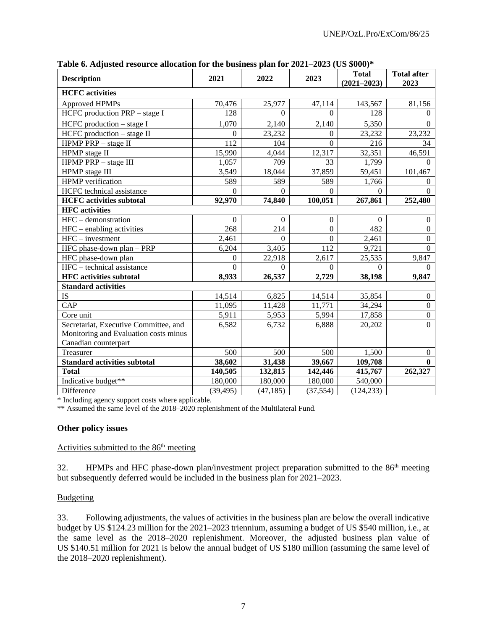| <b>Description</b>                    | 2021      | 2022             | 2023             | <b>Total</b><br>$(2021 - 2023)$ | <b>Total after</b><br>2023 |
|---------------------------------------|-----------|------------------|------------------|---------------------------------|----------------------------|
| <b>HCFC</b> activities                |           |                  |                  |                                 |                            |
| <b>Approved HPMPs</b>                 | 70,476    | 25,977           | 47,114           | 143,567                         | 81,156                     |
| HCFC production PRP - stage I         | 128       | $\Omega$         | $\Omega$         | 128                             | $\Omega$                   |
| HCFC production - stage I             | 1,070     | 2,140            | 2,140            | 5,350                           | $\Omega$                   |
| $H$ CFC production $-$ stage II       | $\Omega$  | 23,232           | $\Omega$         | 23,232                          | 23,232                     |
| HPMP PRP - stage II                   | 112       | 104              | $\boldsymbol{0}$ | 216                             | 34                         |
| HPMP stage II                         | 15,990    | 4,044            | 12,317           | 32,351                          | 46,591                     |
| HPMP PRP - stage III                  | 1,057     | 709              | 33               | 1,799                           | $\Omega$                   |
| HPMP stage III                        | 3,549     | 18,044           | 37,859           | 59,451                          | 101,467                    |
| HPMP verification                     | 589       | 589              | 589              | 1,766                           | $\mathbf{0}$               |
| HCFC technical assistance             | $\Omega$  | $\theta$         | $\Omega$         | $\Omega$                        | $\Omega$                   |
| <b>HCFC</b> activities subtotal       | 92,970    | 74,840           | 100,051          | 267,861                         | 252,480                    |
| <b>HFC</b> activities                 |           |                  |                  |                                 |                            |
| HFC - demonstration                   | $\Omega$  | $\boldsymbol{0}$ | $\overline{0}$   | $\boldsymbol{0}$                | $\boldsymbol{0}$           |
| HFC - enabling activities             | 268       | 214              | $\overline{0}$   | 482                             | $\overline{0}$             |
| $HFC$ – investment                    | 2,461     | $\Omega$         | $\mathbf{0}$     | 2,461                           | $\mathbf{0}$               |
| HFC phase-down plan - PRP             | 6,204     | 3,405            | 112              | 9,721                           | $\overline{0}$             |
| HFC phase-down plan                   | $\Omega$  | 22,918           | 2,617            | 25,535                          | 9,847                      |
| HFC – technical assistance            | $\Omega$  | $\Omega$         | $\Omega$         | $\Omega$                        | $\Omega$                   |
| <b>HFC</b> activities subtotal        | 8,933     | 26,537           | 2,729            | 38,198                          | 9,847                      |
| <b>Standard activities</b>            |           |                  |                  |                                 |                            |
| IS                                    | 14,514    | 6,825            | 14,514           | 35,854                          | $\overline{0}$             |
| CAP                                   | 11,095    | 11,428           | 11,771           | 34,294                          | $\overline{0}$             |
| Core unit                             | 5,911     | 5,953            | 5,994            | 17,858                          | $\overline{0}$             |
| Secretariat, Executive Committee, and | 6,582     | 6,732            | 6,888            | 20,202                          | $\mathbf{0}$               |
| Monitoring and Evaluation costs minus |           |                  |                  |                                 |                            |
| Canadian counterpart                  |           |                  |                  |                                 |                            |
| Treasurer                             | 500       | 500              | 500              | 1,500                           | $\Omega$                   |
| <b>Standard activities subtotal</b>   | 38,602    | 31,438           | 39,667           | 109,708                         | $\mathbf{0}$               |
| <b>Total</b>                          | 140,505   | 132,815          | 142,446          | 415,767                         | 262,327                    |
| Indicative budget**                   | 180,000   | 180,000          | 180,000          | 540,000                         |                            |
| Difference                            | (39, 495) | (47, 185)        | (37, 554)        | (124, 233)                      |                            |

**Table 6. Adjusted resource allocation for the business plan for 2021–2023 (US \$000)\***

\* Including agency support costs where applicable.

\*\* Assumed the same level of the 2018–2020 replenishment of the Multilateral Fund.

## **Other policy issues**

#### Activities submitted to the 86<sup>th</sup> meeting

32. HPMPs and HFC phase-down plan/investment project preparation submitted to the 86<sup>th</sup> meeting but subsequently deferred would be included in the business plan for 2021–2023.

## **Budgeting**

33. Following adjustments, the values of activities in the business plan are below the overall indicative budget by US \$124.23 million for the 2021–2023 triennium, assuming a budget of US \$540 million, i.e., at the same level as the 2018–2020 replenishment. Moreover, the adjusted business plan value of US \$140.51 million for 2021 is below the annual budget of US \$180 million (assuming the same level of the 2018–2020 replenishment).